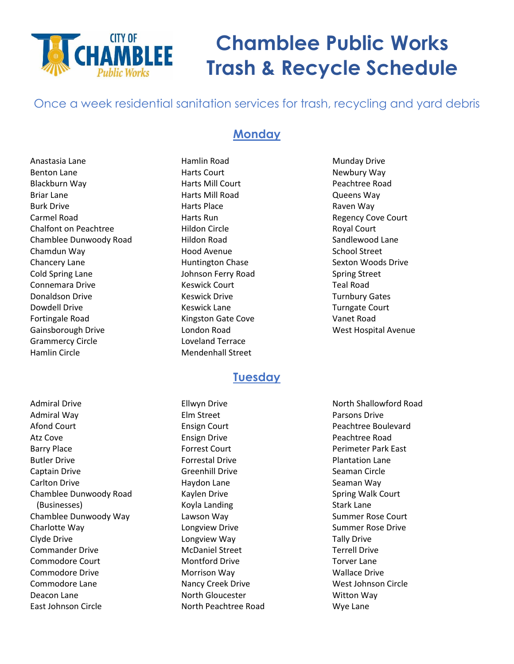

# **Chamblee Public Works Trash & Recycle Schedule**

Once a week residential sanitation services for trash, recycling and yard debris

## **Monday**

Anastasia Lane Benton Lane Blackburn Way Briar Lane Burk Drive Carmel Road Chalfont on Peachtree Chamblee Dunwoody Road Chamdun Way Chancery Lane Cold Spring Lane Connemara Drive Donaldson Drive Dowdell Drive Fortingale Road Gainsborough Drive Grammercy Circle Hamlin Circle

Hamlin Road Harts Court Harts Mill Court Harts Mill Road Harts Place Harts Run Hildon Circle Hildon Road Hood Avenue Huntington Chase Johnson Ferry Road Keswick Court Keswick Drive Keswick Lane Kingston Gate Cove London Road Loveland Terrace Mendenhall Street

#### Raven Way Regency Cove Court Royal Court Sandlewood Lane School Street Sexton Woods Drive Spring Street Teal Road Turnbury Gates Turngate Court Vanet Road West Hospital Avenue

Munday Drive Newbury Way Peachtree Road Queens Way

**Tuesday**

Admiral Drive Admiral Way Afond Court Atz Cove Barry Place Butler Drive Captain Drive Carlton Drive Chamblee Dunwoody Road (Businesses) Chamblee Dunwoody Way Charlotte Way Clyde Drive Commander Drive Commodore Court Commodore Drive Commodore Lane Deacon Lane East Johnson Circle

Ellwyn Drive Elm Street Ensign Court Ensign Drive Forrest Court Forrestal Drive Greenhill Drive Haydon Lane Kaylen Drive Koyla Landing Lawson Way Longview Drive Longview Way McDaniel Street Montford Drive Morrison Way Nancy Creek Drive North Gloucester North Peachtree Road

North Shallowford Road Parsons Drive Peachtree Boulevard Peachtree Road Perimeter Park East Plantation Lane Seaman Circle Seaman Way Spring Walk Court Stark Lane Summer Rose Court Summer Rose Drive Tally Drive Terrell Drive Torver Lane Wallace Drive West Johnson Circle Witton Way Wye Lane